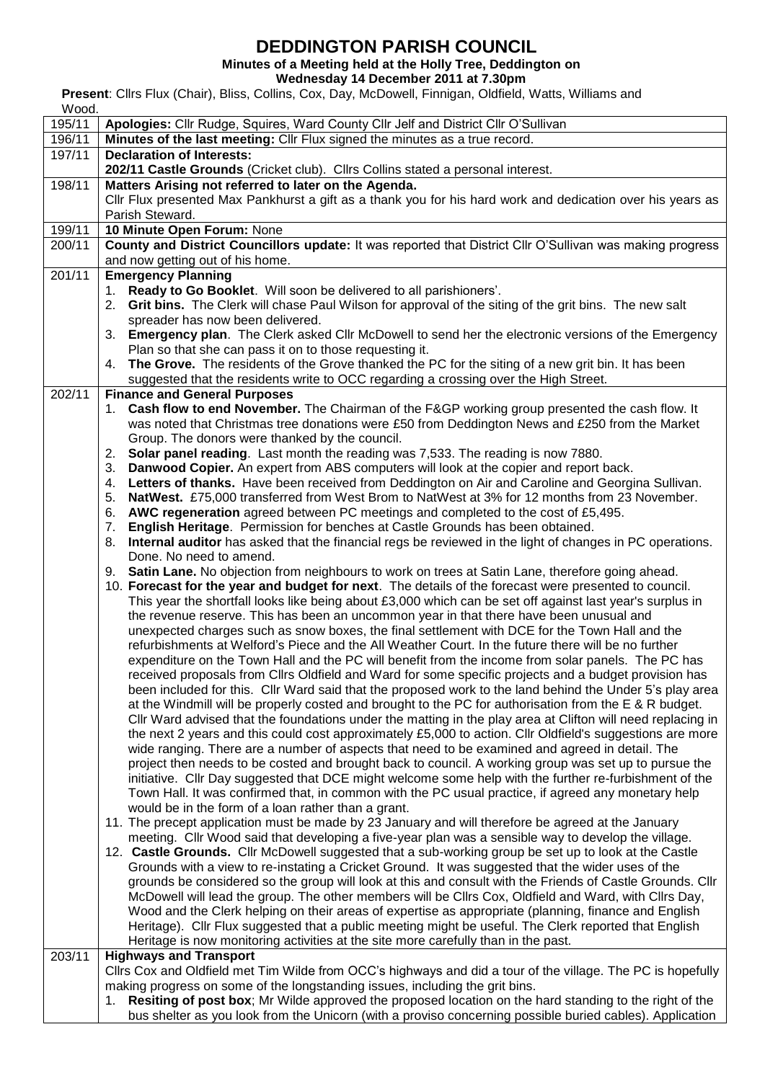# **DEDDINGTON PARISH COUNCIL**

**Minutes of a Meeting held at the Holly Tree, Deddington on**

**Wednesday 14 December 2011 at 7.30pm**

**Present**: Cllrs Flux (Chair), Bliss, Collins, Cox, Day, McDowell, Finnigan, Oldfield, Watts, Williams and

| Wood.  |                                                                                                                                                                                                             |  |  |  |  |  |
|--------|-------------------------------------------------------------------------------------------------------------------------------------------------------------------------------------------------------------|--|--|--|--|--|
| 195/11 | Apologies: Cllr Rudge, Squires, Ward County Cllr Jelf and District Cllr O'Sullivan                                                                                                                          |  |  |  |  |  |
| 196/11 | Minutes of the last meeting: Cllr Flux signed the minutes as a true record.                                                                                                                                 |  |  |  |  |  |
| 197/11 | <b>Declaration of Interests:</b>                                                                                                                                                                            |  |  |  |  |  |
|        | 202/11 Castle Grounds (Cricket club). Cllrs Collins stated a personal interest.                                                                                                                             |  |  |  |  |  |
| 198/11 | Matters Arising not referred to later on the Agenda.                                                                                                                                                        |  |  |  |  |  |
|        | CIIr Flux presented Max Pankhurst a gift as a thank you for his hard work and dedication over his years as                                                                                                  |  |  |  |  |  |
|        | Parish Steward.                                                                                                                                                                                             |  |  |  |  |  |
| 199/11 | 10 Minute Open Forum: None                                                                                                                                                                                  |  |  |  |  |  |
| 200/11 | County and District Councillors update: It was reported that District Cllr O'Sullivan was making progress                                                                                                   |  |  |  |  |  |
|        | and now getting out of his home.                                                                                                                                                                            |  |  |  |  |  |
| 201/11 | <b>Emergency Planning</b>                                                                                                                                                                                   |  |  |  |  |  |
|        | Ready to Go Booklet. Will soon be delivered to all parishioners'.<br>1.                                                                                                                                     |  |  |  |  |  |
|        | 2. Grit bins. The Clerk will chase Paul Wilson for approval of the siting of the grit bins. The new salt                                                                                                    |  |  |  |  |  |
|        | spreader has now been delivered.                                                                                                                                                                            |  |  |  |  |  |
|        | 3. Emergency plan. The Clerk asked Cllr McDowell to send her the electronic versions of the Emergency                                                                                                       |  |  |  |  |  |
|        | Plan so that she can pass it on to those requesting it.                                                                                                                                                     |  |  |  |  |  |
|        | 4. The Grove. The residents of the Grove thanked the PC for the siting of a new grit bin. It has been                                                                                                       |  |  |  |  |  |
|        | suggested that the residents write to OCC regarding a crossing over the High Street.                                                                                                                        |  |  |  |  |  |
| 202/11 | <b>Finance and General Purposes</b>                                                                                                                                                                         |  |  |  |  |  |
|        | 1. Cash flow to end November. The Chairman of the F&GP working group presented the cash flow. It                                                                                                            |  |  |  |  |  |
|        | was noted that Christmas tree donations were £50 from Deddington News and £250 from the Market                                                                                                              |  |  |  |  |  |
|        | Group. The donors were thanked by the council.                                                                                                                                                              |  |  |  |  |  |
|        | 2. Solar panel reading. Last month the reading was 7,533. The reading is now 7880.                                                                                                                          |  |  |  |  |  |
|        | Danwood Copier. An expert from ABS computers will look at the copier and report back.<br>3.                                                                                                                 |  |  |  |  |  |
|        | Letters of thanks. Have been received from Deddington on Air and Caroline and Georgina Sullivan.<br>4.                                                                                                      |  |  |  |  |  |
|        | NatWest. £75,000 transferred from West Brom to NatWest at 3% for 12 months from 23 November.<br>5.                                                                                                          |  |  |  |  |  |
|        | AWC regeneration agreed between PC meetings and completed to the cost of £5,495.<br>6.                                                                                                                      |  |  |  |  |  |
|        | English Heritage. Permission for benches at Castle Grounds has been obtained.<br>7.                                                                                                                         |  |  |  |  |  |
|        | 8. Internal auditor has asked that the financial regs be reviewed in the light of changes in PC operations.                                                                                                 |  |  |  |  |  |
|        | Done. No need to amend.                                                                                                                                                                                     |  |  |  |  |  |
|        | 9. Satin Lane. No objection from neighbours to work on trees at Satin Lane, therefore going ahead.<br>10. Forecast for the year and budget for next. The details of the forecast were presented to council. |  |  |  |  |  |
|        | This year the shortfall looks like being about £3,000 which can be set off against last year's surplus in                                                                                                   |  |  |  |  |  |
|        | the revenue reserve. This has been an uncommon year in that there have been unusual and                                                                                                                     |  |  |  |  |  |
|        | unexpected charges such as snow boxes, the final settlement with DCE for the Town Hall and the                                                                                                              |  |  |  |  |  |
|        | refurbishments at Welford's Piece and the All Weather Court. In the future there will be no further                                                                                                         |  |  |  |  |  |
|        | expenditure on the Town Hall and the PC will benefit from the income from solar panels. The PC has                                                                                                          |  |  |  |  |  |
|        | received proposals from Cllrs Oldfield and Ward for some specific projects and a budget provision has                                                                                                       |  |  |  |  |  |
|        | been included for this. Cllr Ward said that the proposed work to the land behind the Under 5's play area                                                                                                    |  |  |  |  |  |
|        | at the Windmill will be properly costed and brought to the PC for authorisation from the E & R budget.                                                                                                      |  |  |  |  |  |
|        | CIIr Ward advised that the foundations under the matting in the play area at Clifton will need replacing in                                                                                                 |  |  |  |  |  |
|        | the next 2 years and this could cost approximately £5,000 to action. Cllr Oldfield's suggestions are more                                                                                                   |  |  |  |  |  |
|        | wide ranging. There are a number of aspects that need to be examined and agreed in detail. The                                                                                                              |  |  |  |  |  |
|        | project then needs to be costed and brought back to council. A working group was set up to pursue the                                                                                                       |  |  |  |  |  |
|        | initiative. Cllr Day suggested that DCE might welcome some help with the further re-furbishment of the                                                                                                      |  |  |  |  |  |
|        | Town Hall. It was confirmed that, in common with the PC usual practice, if agreed any monetary help                                                                                                         |  |  |  |  |  |
|        | would be in the form of a loan rather than a grant.                                                                                                                                                         |  |  |  |  |  |
|        | 11. The precept application must be made by 23 January and will therefore be agreed at the January                                                                                                          |  |  |  |  |  |
|        | meeting. Cllr Wood said that developing a five-year plan was a sensible way to develop the village.                                                                                                         |  |  |  |  |  |
|        | 12. Castle Grounds. Cllr McDowell suggested that a sub-working group be set up to look at the Castle                                                                                                        |  |  |  |  |  |
|        | Grounds with a view to re-instating a Cricket Ground. It was suggested that the wider uses of the                                                                                                           |  |  |  |  |  |
|        | grounds be considered so the group will look at this and consult with the Friends of Castle Grounds. Cllr                                                                                                   |  |  |  |  |  |
|        | McDowell will lead the group. The other members will be Cllrs Cox, Oldfield and Ward, with Cllrs Day,                                                                                                       |  |  |  |  |  |
|        | Wood and the Clerk helping on their areas of expertise as appropriate (planning, finance and English                                                                                                        |  |  |  |  |  |
|        | Heritage). Cllr Flux suggested that a public meeting might be useful. The Clerk reported that English                                                                                                       |  |  |  |  |  |
|        | Heritage is now monitoring activities at the site more carefully than in the past.                                                                                                                          |  |  |  |  |  |
| 203/11 | <b>Highways and Transport</b>                                                                                                                                                                               |  |  |  |  |  |
|        | Cllrs Cox and Oldfield met Tim Wilde from OCC's highways and did a tour of the village. The PC is hopefully                                                                                                 |  |  |  |  |  |
|        | making progress on some of the longstanding issues, including the grit bins.                                                                                                                                |  |  |  |  |  |
|        | <b>Resiting of post box</b> ; Mr Wilde approved the proposed location on the hard standing to the right of the<br>1.                                                                                        |  |  |  |  |  |
|        | bus shelter as you look from the Unicorn (with a proviso concerning possible buried cables). Application                                                                                                    |  |  |  |  |  |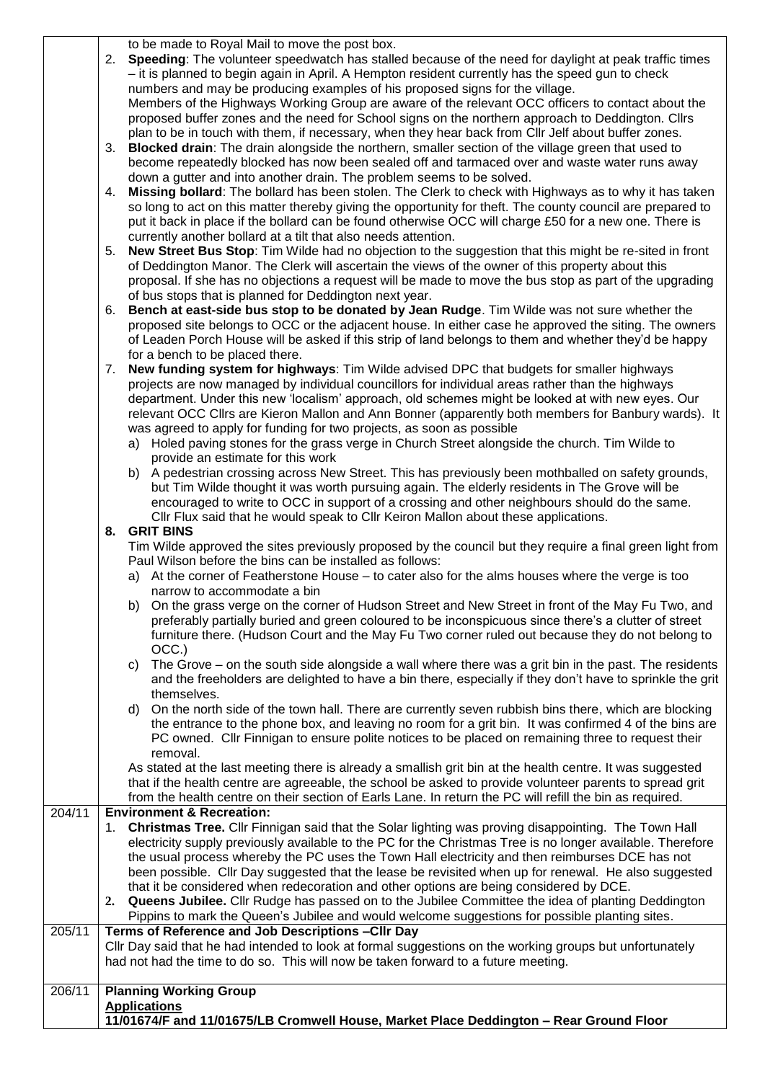to be made to Royal Mail to move the post box.

2. **Speeding**: The volunteer speedwatch has stalled because of the need for daylight at peak traffic times – it is planned to begin again in April. A Hempton resident currently has the speed gun to check numbers and may be producing examples of his proposed signs for the village. Members of the Highways Working Group are aware of the relevant OCC officers to contact about the proposed buffer zones and the need for School signs on the northern approach to Deddington. Cllrs plan to be in touch with them, if necessary, when they hear back from Cllr Jelf about buffer zones.

- 3. **Blocked drain**: The drain alongside the northern, smaller section of the village green that used to become repeatedly blocked has now been sealed off and tarmaced over and waste water runs away down a gutter and into another drain. The problem seems to be solved.
- 4. **Missing bollard**: The bollard has been stolen. The Clerk to check with Highways as to why it has taken so long to act on this matter thereby giving the opportunity for theft. The county council are prepared to put it back in place if the bollard can be found otherwise OCC will charge £50 for a new one. There is currently another bollard at a tilt that also needs attention.
- 5. **New Street Bus Stop**: Tim Wilde had no objection to the suggestion that this might be re-sited in front of Deddington Manor. The Clerk will ascertain the views of the owner of this property about this proposal. If she has no objections a request will be made to move the bus stop as part of the upgrading of bus stops that is planned for Deddington next year.
- 6. **Bench at east-side bus stop to be donated by Jean Rudge**. Tim Wilde was not sure whether the proposed site belongs to OCC or the adjacent house. In either case he approved the siting. The owners of Leaden Porch House will be asked if this strip of land belongs to them and whether they'd be happy for a bench to be placed there.
- 7. **New funding system for highways**: Tim Wilde advised DPC that budgets for smaller highways projects are now managed by individual councillors for individual areas rather than the highways department. Under this new 'localism' approach, old schemes might be looked at with new eyes. Our relevant OCC Cllrs are Kieron Mallon and Ann Bonner (apparently both members for Banbury wards). It was agreed to apply for funding for two projects, as soon as possible
	- a) Holed paving stones for the grass verge in Church Street alongside the church. Tim Wilde to provide an estimate for this work
	- b) A pedestrian crossing across New Street. This has previously been mothballed on safety grounds, but Tim Wilde thought it was worth pursuing again. The elderly residents in The Grove will be encouraged to write to OCC in support of a crossing and other neighbours should do the same. Cllr Flux said that he would speak to Cllr Keiron Mallon about these applications.

#### **8. GRIT BINS**

Tim Wilde approved the sites previously proposed by the council but they require a final green light from Paul Wilson before the bins can be installed as follows:

- a) At the corner of Featherstone House to cater also for the alms houses where the verge is too narrow to accommodate a bin
- b) On the grass verge on the corner of Hudson Street and New Street in front of the May Fu Two, and preferably partially buried and green coloured to be inconspicuous since there's a clutter of street furniture there. (Hudson Court and the May Fu Two corner ruled out because they do not belong to OCC.)
- c) The Grove on the south side alongside a wall where there was a grit bin in the past. The residents and the freeholders are delighted to have a bin there, especially if they don't have to sprinkle the grit themselves.
- d) On the north side of the town hall. There are currently seven rubbish bins there, which are blocking the entrance to the phone box, and leaving no room for a grit bin. It was confirmed 4 of the bins are PC owned. Cllr Finnigan to ensure polite notices to be placed on remaining three to request their removal.

As stated at the last meeting there is already a smallish grit bin at the health centre. It was suggested that if the health centre are agreeable, the school be asked to provide volunteer parents to spread grit from the health centre on their section of Earls Lane. In return the PC will refill the bin as required.

### 204/11 **Environment & Recreation:**

1. **Christmas Tree.** Cllr Finnigan said that the Solar lighting was proving disappointing. The Town Hall electricity supply previously available to the PC for the Christmas Tree is no longer available. Therefore the usual process whereby the PC uses the Town Hall electricity and then reimburses DCE has not been possible. Cllr Day suggested that the lease be revisited when up for renewal. He also suggested that it be considered when redecoration and other options are being considered by DCE.

#### **2. Queens Jubilee.** Cllr Rudge has passed on to the Jubilee Committee the idea of planting Deddington Pippins to mark the Queen's Jubilee and would welcome suggestions for possible planting sites. 205/11 **Terms of Reference and Job Descriptions –Cllr Day**

Cllr Day said that he had intended to look at formal suggestions on the working groups but unfortunately had not had the time to do so. This will now be taken forward to a future meeting.

## 206/11 **Planning Working Group Applications 11/01674/F and 11/01675/LB Cromwell House, Market Place Deddington – Rear Ground Floor**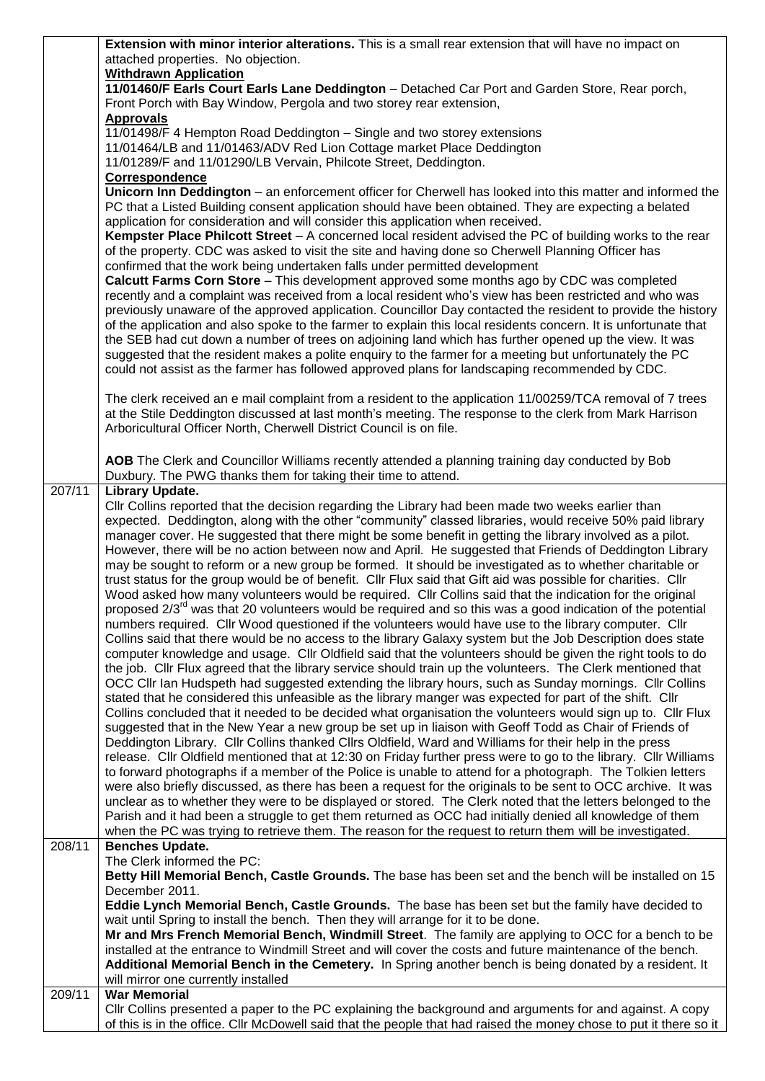|                     | <b>Extension with minor interior alterations.</b> This is a small rear extension that will have no impact on                                                                                                                   |  |  |  |  |
|---------------------|--------------------------------------------------------------------------------------------------------------------------------------------------------------------------------------------------------------------------------|--|--|--|--|
|                     | attached properties. No objection.                                                                                                                                                                                             |  |  |  |  |
|                     | <b>Withdrawn Application</b>                                                                                                                                                                                                   |  |  |  |  |
|                     | 11/01460/F Earls Court Earls Lane Deddington - Detached Car Port and Garden Store, Rear porch,                                                                                                                                 |  |  |  |  |
|                     | Front Porch with Bay Window, Pergola and two storey rear extension,                                                                                                                                                            |  |  |  |  |
|                     | <b>Approvals</b>                                                                                                                                                                                                               |  |  |  |  |
|                     | 11/01498/F 4 Hempton Road Deddington - Single and two storey extensions                                                                                                                                                        |  |  |  |  |
|                     | 11/01464/LB and 11/01463/ADV Red Lion Cottage market Place Deddington                                                                                                                                                          |  |  |  |  |
|                     | 11/01289/F and 11/01290/LB Vervain, Philcote Street, Deddington.                                                                                                                                                               |  |  |  |  |
|                     | Correspondence                                                                                                                                                                                                                 |  |  |  |  |
|                     | Unicorn Inn Deddington - an enforcement officer for Cherwell has looked into this matter and informed the                                                                                                                      |  |  |  |  |
|                     | PC that a Listed Building consent application should have been obtained. They are expecting a belated                                                                                                                          |  |  |  |  |
|                     | application for consideration and will consider this application when received.                                                                                                                                                |  |  |  |  |
|                     | Kempster Place Philcott Street – A concerned local resident advised the PC of building works to the rear                                                                                                                       |  |  |  |  |
|                     | of the property. CDC was asked to visit the site and having done so Cherwell Planning Officer has                                                                                                                              |  |  |  |  |
|                     | confirmed that the work being undertaken falls under permitted development                                                                                                                                                     |  |  |  |  |
|                     | <b>Calcutt Farms Corn Store</b> – This development approved some months ago by CDC was completed                                                                                                                               |  |  |  |  |
|                     | recently and a complaint was received from a local resident who's view has been restricted and who was                                                                                                                         |  |  |  |  |
|                     |                                                                                                                                                                                                                                |  |  |  |  |
|                     | previously unaware of the approved application. Councillor Day contacted the resident to provide the history                                                                                                                   |  |  |  |  |
|                     | of the application and also spoke to the farmer to explain this local residents concern. It is unfortunate that                                                                                                                |  |  |  |  |
|                     | the SEB had cut down a number of trees on adjoining land which has further opened up the view. It was                                                                                                                          |  |  |  |  |
|                     | suggested that the resident makes a polite enquiry to the farmer for a meeting but unfortunately the PC                                                                                                                        |  |  |  |  |
|                     | could not assist as the farmer has followed approved plans for landscaping recommended by CDC.                                                                                                                                 |  |  |  |  |
|                     |                                                                                                                                                                                                                                |  |  |  |  |
|                     | The clerk received an e mail complaint from a resident to the application 11/00259/TCA removal of 7 trees                                                                                                                      |  |  |  |  |
|                     | at the Stile Deddington discussed at last month's meeting. The response to the clerk from Mark Harrison                                                                                                                        |  |  |  |  |
|                     | Arboricultural Officer North, Cherwell District Council is on file.                                                                                                                                                            |  |  |  |  |
|                     |                                                                                                                                                                                                                                |  |  |  |  |
|                     | AOB The Clerk and Councillor Williams recently attended a planning training day conducted by Bob                                                                                                                               |  |  |  |  |
|                     | Duxbury. The PWG thanks them for taking their time to attend.                                                                                                                                                                  |  |  |  |  |
| $\overline{2}07/11$ | <b>Library Update.</b>                                                                                                                                                                                                         |  |  |  |  |
|                     | Cllr Collins reported that the decision regarding the Library had been made two weeks earlier than                                                                                                                             |  |  |  |  |
|                     | expected. Deddington, along with the other "community" classed libraries, would receive 50% paid library                                                                                                                       |  |  |  |  |
|                     | manager cover. He suggested that there might be some benefit in getting the library involved as a pilot.                                                                                                                       |  |  |  |  |
|                     |                                                                                                                                                                                                                                |  |  |  |  |
|                     |                                                                                                                                                                                                                                |  |  |  |  |
|                     | However, there will be no action between now and April. He suggested that Friends of Deddington Library                                                                                                                        |  |  |  |  |
|                     | may be sought to reform or a new group be formed. It should be investigated as to whether charitable or                                                                                                                        |  |  |  |  |
|                     | trust status for the group would be of benefit. Cllr Flux said that Gift aid was possible for charities. Cllr                                                                                                                  |  |  |  |  |
|                     | Wood asked how many volunteers would be required. Cllr Collins said that the indication for the original                                                                                                                       |  |  |  |  |
|                     | proposed 2/3 <sup>rd</sup> was that 20 volunteers would be required and so this was a good indication of the potential                                                                                                         |  |  |  |  |
|                     | numbers required. Cllr Wood questioned if the volunteers would have use to the library computer. Cllr                                                                                                                          |  |  |  |  |
|                     | Collins said that there would be no access to the library Galaxy system but the Job Description does state                                                                                                                     |  |  |  |  |
|                     | computer knowledge and usage. Cllr Oldfield said that the volunteers should be given the right tools to do                                                                                                                     |  |  |  |  |
|                     | the job. Cllr Flux agreed that the library service should train up the volunteers. The Clerk mentioned that                                                                                                                    |  |  |  |  |
|                     | OCC CIIr Ian Hudspeth had suggested extending the library hours, such as Sunday mornings. CIIr Collins                                                                                                                         |  |  |  |  |
|                     | stated that he considered this unfeasible as the library manger was expected for part of the shift. Cllr                                                                                                                       |  |  |  |  |
|                     | Collins concluded that it needed to be decided what organisation the volunteers would sign up to. Cllr Flux                                                                                                                    |  |  |  |  |
|                     | suggested that in the New Year a new group be set up in liaison with Geoff Todd as Chair of Friends of                                                                                                                         |  |  |  |  |
|                     | Deddington Library. Cllr Collins thanked Cllrs Oldfield, Ward and Williams for their help in the press                                                                                                                         |  |  |  |  |
|                     | release. Cllr Oldfield mentioned that at 12:30 on Friday further press were to go to the library. Cllr Williams                                                                                                                |  |  |  |  |
|                     | to forward photographs if a member of the Police is unable to attend for a photograph. The Tolkien letters                                                                                                                     |  |  |  |  |
|                     | were also briefly discussed, as there has been a request for the originals to be sent to OCC archive. It was                                                                                                                   |  |  |  |  |
|                     | unclear as to whether they were to be displayed or stored. The Clerk noted that the letters belonged to the                                                                                                                    |  |  |  |  |
|                     |                                                                                                                                                                                                                                |  |  |  |  |
|                     | Parish and it had been a struggle to get them returned as OCC had initially denied all knowledge of them                                                                                                                       |  |  |  |  |
|                     | when the PC was trying to retrieve them. The reason for the request to return them will be investigated.                                                                                                                       |  |  |  |  |
| 208/11              | <b>Benches Update.</b>                                                                                                                                                                                                         |  |  |  |  |
|                     | The Clerk informed the PC:                                                                                                                                                                                                     |  |  |  |  |
|                     | Betty Hill Memorial Bench, Castle Grounds. The base has been set and the bench will be installed on 15                                                                                                                         |  |  |  |  |
|                     | December 2011.                                                                                                                                                                                                                 |  |  |  |  |
|                     | Eddie Lynch Memorial Bench, Castle Grounds. The base has been set but the family have decided to                                                                                                                               |  |  |  |  |
|                     | wait until Spring to install the bench. Then they will arrange for it to be done.                                                                                                                                              |  |  |  |  |
|                     | Mr and Mrs French Memorial Bench, Windmill Street. The family are applying to OCC for a bench to be                                                                                                                            |  |  |  |  |
|                     | installed at the entrance to Windmill Street and will cover the costs and future maintenance of the bench.                                                                                                                     |  |  |  |  |
|                     | Additional Memorial Bench in the Cemetery. In Spring another bench is being donated by a resident. It                                                                                                                          |  |  |  |  |
|                     | will mirror one currently installed                                                                                                                                                                                            |  |  |  |  |
| 209/11              | <b>War Memorial</b>                                                                                                                                                                                                            |  |  |  |  |
|                     | CIIr Collins presented a paper to the PC explaining the background and arguments for and against. A copy<br>of this is in the office. Cllr McDowell said that the people that had raised the money chose to put it there so it |  |  |  |  |